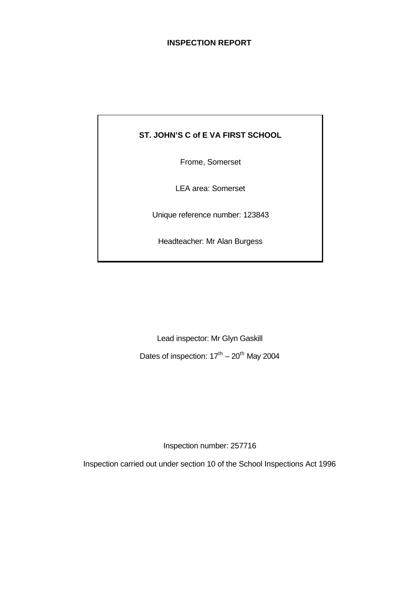## **INSPECTION REPORT**

## **ST. JOHN'S C of E VA FIRST SCHOOL**

Frome, Somerset

LEA area: Somerset

Unique reference number: 123843

Headteacher: Mr Alan Burgess

Lead inspector: Mr Glyn Gaskill

Dates of inspection:  $17<sup>th</sup> - 20<sup>th</sup>$  May 2004

Inspection number: 257716

Inspection carried out under section 10 of the School Inspections Act 1996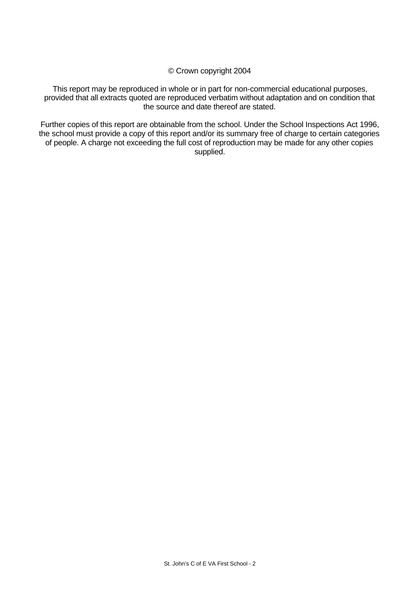© Crown copyright 2004

This report may be reproduced in whole or in part for non-commercial educational purposes, provided that all extracts quoted are reproduced verbatim without adaptation and on condition that the source and date thereof are stated.

Further copies of this report are obtainable from the school. Under the School Inspections Act 1996, the school must provide a copy of this report and/or its summary free of charge to certain categories of people. A charge not exceeding the full cost of reproduction may be made for any other copies supplied.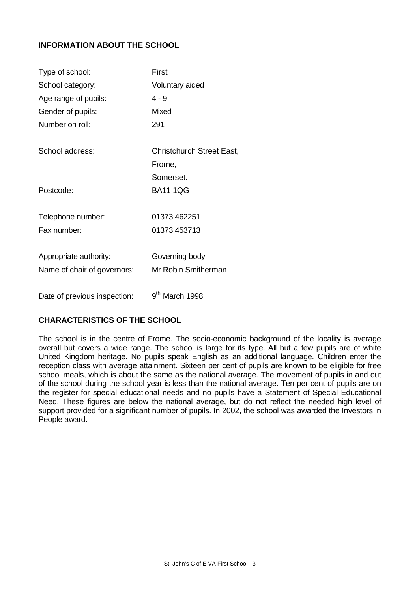## **INFORMATION ABOUT THE SCHOOL**

| Type of school:              | First                            |
|------------------------------|----------------------------------|
| School category:             | Voluntary aided                  |
| Age range of pupils:         | $4 - 9$                          |
| Gender of pupils:            | Mixed                            |
| Number on roll:              | 291                              |
| School address:              | <b>Christchurch Street East,</b> |
|                              | Frome,                           |
|                              | Somerset.                        |
| Postcode:                    | <b>BA11 1QG</b>                  |
| Telephone number:            | 01373 462251                     |
| Fax number:                  | 01373 453713                     |
| Appropriate authority:       | Governing body                   |
| Name of chair of governors:  | Mr Robin Smitherman              |
| Date of previous inspection: | 9 <sup>th</sup> March 1998       |

## **CHARACTERISTICS OF THE SCHOOL**

The school is in the centre of Frome. The socio-economic background of the locality is average overall but covers a wide range. The school is large for its type. All but a few pupils are of white United Kingdom heritage. No pupils speak English as an additional language. Children enter the reception class with average attainment. Sixteen per cent of pupils are known to be eligible for free school meals, which is about the same as the national average. The movement of pupils in and out of the school during the school year is less than the national average. Ten per cent of pupils are on the register for special educational needs and no pupils have a Statement of Special Educational Need. These figures are below the national average, but do not reflect the needed high level of support provided for a significant number of pupils. In 2002, the school was awarded the Investors in People award.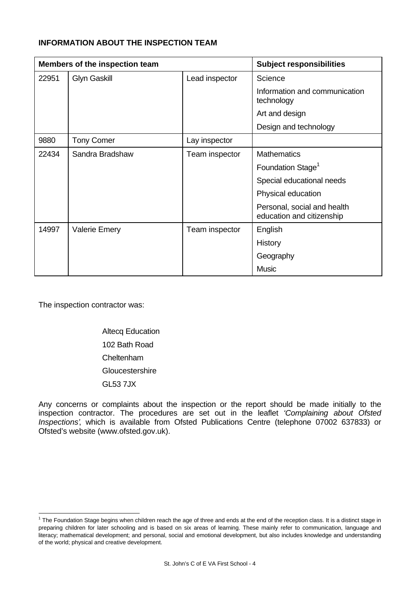## **INFORMATION ABOUT THE INSPECTION TEAM**

| Members of the inspection team |                                       |                | <b>Subject responsibilities</b>                          |
|--------------------------------|---------------------------------------|----------------|----------------------------------------------------------|
| 22951                          | <b>Glyn Gaskill</b><br>Lead inspector |                | Science                                                  |
|                                |                                       |                | Information and communication<br>technology              |
|                                |                                       |                | Art and design                                           |
|                                |                                       |                | Design and technology                                    |
| 9880                           | <b>Tony Comer</b>                     | Lay inspector  |                                                          |
| 22434                          | Sandra Bradshaw                       | Team inspector | <b>Mathematics</b>                                       |
|                                |                                       |                | Foundation Stage <sup>1</sup>                            |
|                                |                                       |                | Special educational needs                                |
|                                |                                       |                | Physical education                                       |
|                                |                                       |                | Personal, social and health<br>education and citizenship |
| 14997                          | <b>Valerie Emery</b>                  | Team inspector | English                                                  |
|                                |                                       |                | History                                                  |
|                                |                                       |                | Geography                                                |
|                                |                                       |                | <b>Music</b>                                             |

The inspection contractor was:

l

Altecq Education 102 Bath Road Cheltenham **Gloucestershire** GL53 7JX

Any concerns or complaints about the inspection or the report should be made initially to the inspection contractor. The procedures are set out in the leaflet *'Complaining about Ofsted Inspections'*, which is available from Ofsted Publications Centre (telephone 07002 637833) or Ofsted's website (www.ofsted.gov.uk).

 $1$  The Foundation Stage begins when children reach the age of three and ends at the end of the reception class. It is a distinct stage in preparing children for later schooling and is based on six areas of learning. These mainly refer to communication, language and literacy; mathematical development; and personal, social and emotional development, but also includes knowledge and understanding of the world; physical and creative development.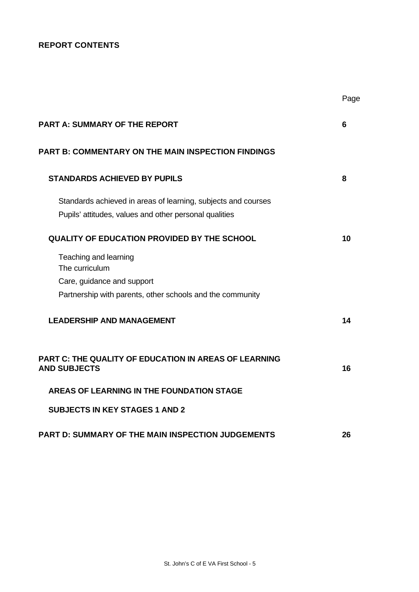## **REPORT CONTENTS**

| <b>PART A: SUMMARY OF THE REPORT</b>                                                                                               | 6  |
|------------------------------------------------------------------------------------------------------------------------------------|----|
| <b>PART B: COMMENTARY ON THE MAIN INSPECTION FINDINGS</b>                                                                          |    |
| <b>STANDARDS ACHIEVED BY PUPILS</b>                                                                                                | 8  |
| Standards achieved in areas of learning, subjects and courses<br>Pupils' attitudes, values and other personal qualities            |    |
| <b>QUALITY OF EDUCATION PROVIDED BY THE SCHOOL</b>                                                                                 | 10 |
| Teaching and learning<br>The curriculum<br>Care, guidance and support<br>Partnership with parents, other schools and the community |    |
| <b>LEADERSHIP AND MANAGEMENT</b>                                                                                                   | 14 |
| <b>PART C: THE QUALITY OF EDUCATION IN AREAS OF LEARNING</b><br><b>AND SUBJECTS</b>                                                | 16 |
| <b>AREAS OF LEARNING IN THE FOUNDATION STAGE</b>                                                                                   |    |
| <b>SUBJECTS IN KEY STAGES 1 AND 2</b>                                                                                              |    |
| <b>PART D: SUMMARY OF THE MAIN INSPECTION JUDGEMENTS</b>                                                                           | 26 |

Page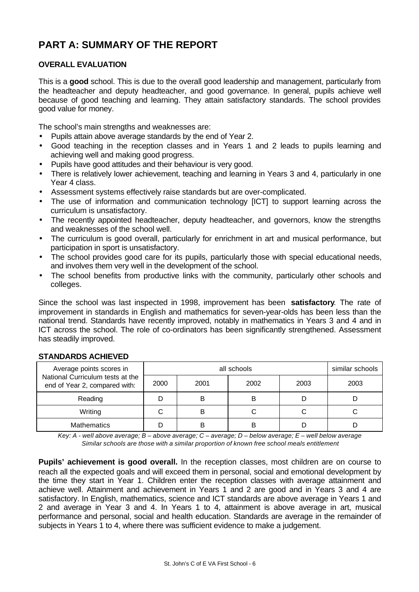# **PART A: SUMMARY OF THE REPORT**

## **OVERALL EVALUATION**

This is a **good** school. This is due to the overall good leadership and management, particularly from the headteacher and deputy headteacher, and good governance. In general, pupils achieve well because of good teaching and learning. They attain satisfactory standards. The school provides good value for money.

The school's main strengths and weaknesses are:

- Pupils attain above average standards by the end of Year 2.
- Good teaching in the reception classes and in Years 1 and 2 leads to pupils learning and achieving well and making good progress.
- Pupils have good attitudes and their behaviour is very good.
- There is relatively lower achievement, teaching and learning in Years 3 and 4, particularly in one Year 4 class.
- Assessment systems effectively raise standards but are over-complicated.
- The use of information and communication technology [ICT] to support learning across the curriculum is unsatisfactory.
- The recently appointed headteacher, deputy headteacher, and governors, know the strengths and weaknesses of the school well.
- The curriculum is good overall, particularly for enrichment in art and musical performance, but participation in sport is unsatisfactory.
- The school provides good care for its pupils, particularly those with special educational needs, and involves them very well in the development of the school.
- The school benefits from productive links with the community, particularly other schools and colleges.

Since the school was last inspected in 1998, improvement has been **satisfactory**. The rate of improvement in standards in English and mathematics for seven-year-olds has been less than the national trend. Standards have recently improved, notably in mathematics in Years 3 and 4 and in ICT across the school. The role of co-ordinators has been significantly strengthened. Assessment has steadily improved.

| Average points scores in                                          |      | similar schools |      |      |      |
|-------------------------------------------------------------------|------|-----------------|------|------|------|
| National Curriculum tests at the<br>end of Year 2, compared with: | 2000 | 2001            | 2002 | 2003 | 2003 |
| Reading                                                           |      | в               |      |      |      |
| Writing                                                           |      | в               |      |      |      |
| <b>Mathematics</b>                                                |      |                 |      |      |      |

## **STANDARDS ACHIEVED**

*Key: A - well above average; B – above average; C – average; D – below average; E – well below average Similar schools are those with a similar proportion of known free school meals entitlement*

Pupils' achievement is good overall. In the reception classes, most children are on course to reach all the expected goals and will exceed them in personal, social and emotional development by the time they start in Year 1. Children enter the reception classes with average attainment and achieve well. Attainment and achievement in Years 1 and 2 are good and in Years 3 and 4 are satisfactory. In English, mathematics, science and ICT standards are above average in Years 1 and 2 and average in Year 3 and 4. In Years 1 to 4, attainment is above average in art, musical performance and personal, social and health education. Standards are average in the remainder of subjects in Years 1 to 4, where there was sufficient evidence to make a judgement.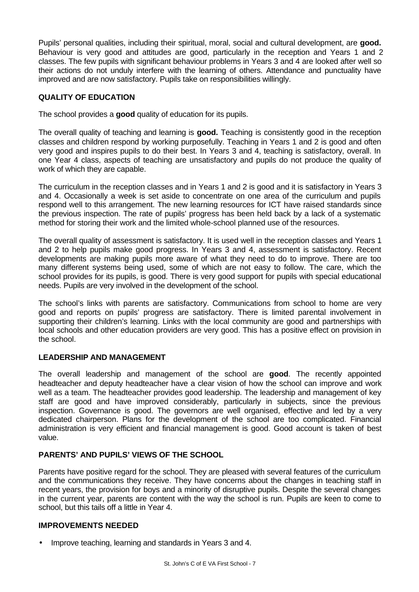Pupils' personal qualities, including their spiritual, moral, social and cultural development, are **good.** Behaviour is very good and attitudes are good, particularly in the reception and Years 1 and 2 classes. The few pupils with significant behaviour problems in Years 3 and 4 are looked after well so their actions do not unduly interfere with the learning of others. Attendance and punctuality have improved and are now satisfactory. Pupils take on responsibilities willingly.

## **QUALITY OF EDUCATION**

The school provides a **good** quality of education for its pupils.

The overall quality of teaching and learning is **good.** Teaching is consistently good in the reception classes and children respond by working purposefully. Teaching in Years 1 and 2 is good and often very good and inspires pupils to do their best. In Years 3 and 4, teaching is satisfactory, overall. In one Year 4 class, aspects of teaching are unsatisfactory and pupils do not produce the quality of work of which they are capable.

The curriculum in the reception classes and in Years 1 and 2 is good and it is satisfactory in Years 3 and 4. Occasionally a week is set aside to concentrate on one area of the curriculum and pupils respond well to this arrangement. The new learning resources for ICT have raised standards since the previous inspection. The rate of pupils' progress has been held back by a lack of a systematic method for storing their work and the limited whole-school planned use of the resources.

The overall quality of assessment is satisfactory. It is used well in the reception classes and Years 1 and 2 to help pupils make good progress. In Years 3 and 4, assessment is satisfactory. Recent developments are making pupils more aware of what they need to do to improve. There are too many different systems being used, some of which are not easy to follow. The care, which the school provides for its pupils, is good. There is very good support for pupils with special educational needs. Pupils are very involved in the development of the school.

The school's links with parents are satisfactory. Communications from school to home are very good and reports on pupils' progress are satisfactory. There is limited parental involvement in supporting their children's learning. Links with the local community are good and partnerships with local schools and other education providers are very good. This has a positive effect on provision in the school.

## **LEADERSHIP AND MANAGEMENT**

The overall leadership and management of the school are **good**. The recently appointed headteacher and deputy headteacher have a clear vision of how the school can improve and work well as a team. The headteacher provides good leadership. The leadership and management of key staff are good and have improved considerably, particularly in subjects, since the previous inspection. Governance is good. The governors are well organised, effective and led by a very dedicated chairperson. Plans for the development of the school are too complicated. Financial administration is very efficient and financial management is good. Good account is taken of best value.

## **PARENTS' AND PUPILS' VIEWS OF THE SCHOOL**

Parents have positive regard for the school. They are pleased with several features of the curriculum and the communications they receive. They have concerns about the changes in teaching staff in recent years, the provision for boys and a minority of disruptive pupils. Despite the several changes in the current year, parents are content with the way the school is run. Pupils are keen to come to school, but this tails off a little in Year 4.

## **IMPROVEMENTS NEEDED**

• Improve teaching, learning and standards in Years 3 and 4.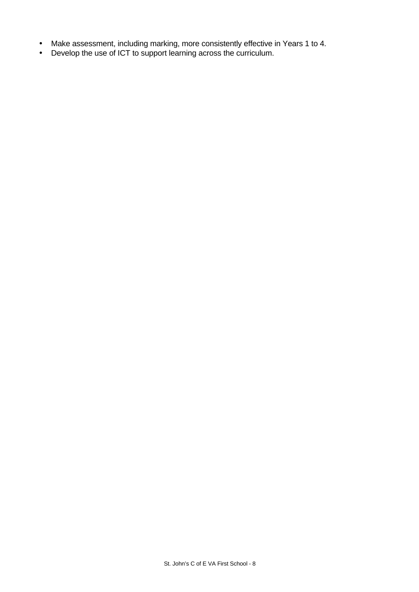- Make assessment, including marking, more consistently effective in Years 1 to 4.
- Develop the use of ICT to support learning across the curriculum.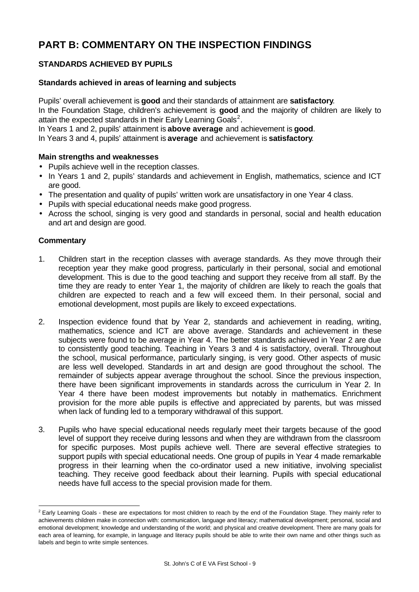# **PART B: COMMENTARY ON THE INSPECTION FINDINGS**

## **STANDARDS ACHIEVED BY PUPILS**

## **Standards achieved in areas of learning and subjects**

Pupils' overall achievement is **good** and their standards of attainment are **satisfactory**. In the Foundation Stage, children's achievement is **good** and the majority of children are likely to attain the expected standards in their Early Learning Goals<sup>2</sup>.

In Years 1 and 2, pupils' attainment is **above average** and achievement is **good**.

In Years 3 and 4, pupils' attainment is **average** and achievement is **satisfactory**.

## **Main strengths and weaknesses**

- Pupils achieve well in the reception classes.
- In Years 1 and 2, pupils' standards and achievement in English, mathematics, science and ICT are good.
- The presentation and quality of pupils' written work are unsatisfactory in one Year 4 class.
- Pupils with special educational needs make good progress.
- Across the school, singing is very good and standards in personal, social and health education and art and design are good.

## **Commentary**

l

- 1. Children start in the reception classes with average standards. As they move through their reception year they make good progress, particularly in their personal, social and emotional development. This is due to the good teaching and support they receive from all staff. By the time they are ready to enter Year 1, the majority of children are likely to reach the goals that children are expected to reach and a few will exceed them. In their personal, social and emotional development, most pupils are likely to exceed expectations.
- 2. Inspection evidence found that by Year 2, standards and achievement in reading, writing, mathematics, science and ICT are above average. Standards and achievement in these subjects were found to be average in Year 4. The better standards achieved in Year 2 are due to consistently good teaching. Teaching in Years 3 and 4 is satisfactory, overall. Throughout the school, musical performance, particularly singing, is very good. Other aspects of music are less well developed. Standards in art and design are good throughout the school. The remainder of subjects appear average throughout the school. Since the previous inspection, there have been significant improvements in standards across the curriculum in Year 2. In Year 4 there have been modest improvements but notably in mathematics. Enrichment provision for the more able pupils is effective and appreciated by parents, but was missed when lack of funding led to a temporary withdrawal of this support.
- 3. Pupils who have special educational needs regularly meet their targets because of the good level of support they receive during lessons and when they are withdrawn from the classroom for specific purposes. Most pupils achieve well. There are several effective strategies to support pupils with special educational needs. One group of pupils in Year 4 made remarkable progress in their learning when the co-ordinator used a new initiative, involving specialist teaching. They receive good feedback about their learning. Pupils with special educational needs have full access to the special provision made for them.

 $2$  Early Learning Goals - these are expectations for most children to reach by the end of the Foundation Stage. They mainly refer to achievements children make in connection with: communication, language and literacy; mathematical development; personal, social and emotional development; knowledge and understanding of the world; and physical and creative development. There are many goals for each area of learning, for example, in language and literacy pupils should be able to write their own name and other things such as labels and begin to write simple sentences.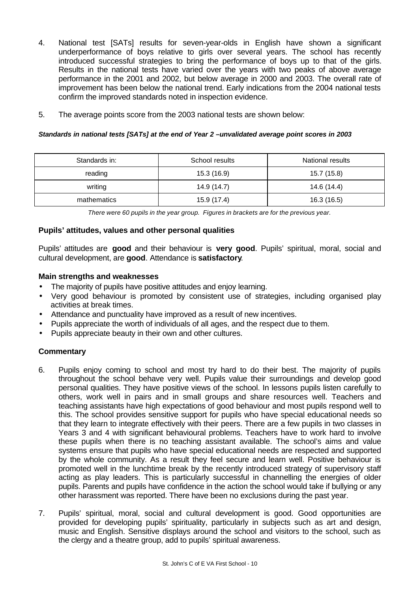- 4. National test [SATs] results for seven-year-olds in English have shown a significant underperformance of boys relative to girls over several years. The school has recently introduced successful strategies to bring the performance of boys up to that of the girls. Results in the national tests have varied over the years with two peaks of above average performance in the 2001 and 2002, but below average in 2000 and 2003. The overall rate of improvement has been below the national trend. Early indications from the 2004 national tests confirm the improved standards noted in inspection evidence.
- 5. The average points score from the 2003 national tests are shown below:

## *Standards in national tests [SATs] at the end of Year 2 –unvalidated average point scores in 2003*

| Standards in:<br>School results |             | National results |
|---------------------------------|-------------|------------------|
| reading                         | 15.3 (16.9) | 15.7 (15.8)      |
| writing                         | 14.9 (14.7) | 14.6 (14.4)      |
| mathematics                     | 15.9 (17.4) | 16.3 (16.5)      |

*There were 60 pupils in the year group. Figures in brackets are for the previous year.*

## **Pupils' attitudes, values and other personal qualities**

Pupils' attitudes are **good** and their behaviour is **very good**. Pupils' spiritual, moral, social and cultural development, are **good**. Attendance is **satisfactory**.

#### **Main strengths and weaknesses**

- The majority of pupils have positive attitudes and enjoy learning.
- Very good behaviour is promoted by consistent use of strategies, including organised play activities at break times.
- Attendance and punctuality have improved as a result of new incentives.
- Pupils appreciate the worth of individuals of all ages, and the respect due to them.
- Pupils appreciate beauty in their own and other cultures.

- 6. Pupils enjoy coming to school and most try hard to do their best. The majority of pupils throughout the school behave very well. Pupils value their surroundings and develop good personal qualities. They have positive views of the school. In lessons pupils listen carefully to others, work well in pairs and in small groups and share resources well. Teachers and teaching assistants have high expectations of good behaviour and most pupils respond well to this. The school provides sensitive support for pupils who have special educational needs so that they learn to integrate effectively with their peers. There are a few pupils in two classes in Years 3 and 4 with significant behavioural problems. Teachers have to work hard to involve these pupils when there is no teaching assistant available. The school's aims and value systems ensure that pupils who have special educational needs are respected and supported by the whole community. As a result they feel secure and learn well. Positive behaviour is promoted well in the lunchtime break by the recently introduced strategy of supervisory staff acting as play leaders. This is particularly successful in channelling the energies of older pupils. Parents and pupils have confidence in the action the school would take if bullying or any other harassment was reported. There have been no exclusions during the past year.
- 7. Pupils' spiritual, moral, social and cultural development is good. Good opportunities are provided for developing pupils' spirituality, particularly in subjects such as art and design, music and English. Sensitive displays around the school and visitors to the school, such as the clergy and a theatre group, add to pupils' spiritual awareness.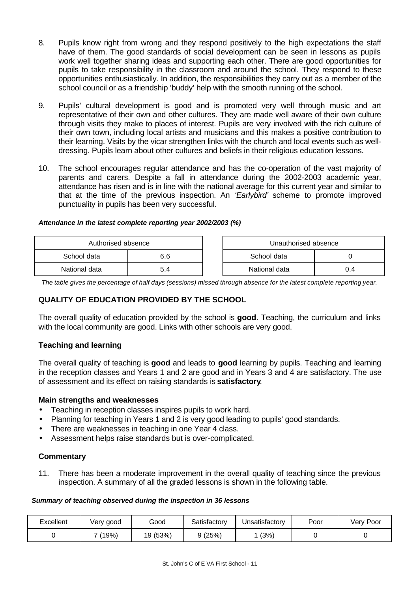- 8. Pupils know right from wrong and they respond positively to the high expectations the staff have of them. The good standards of social development can be seen in lessons as pupils work well together sharing ideas and supporting each other. There are good opportunities for pupils to take responsibility in the classroom and around the school. They respond to these opportunities enthusiastically. In addition, the responsibilities they carry out as a member of the school council or as a friendship 'buddy' help with the smooth running of the school.
- 9. Pupils' cultural development is good and is promoted very well through music and art representative of their own and other cultures. They are made well aware of their own culture through visits they make to places of interest. Pupils are very involved with the rich culture of their own town, including local artists and musicians and this makes a positive contribution to their learning. Visits by the vicar strengthen links with the church and local events such as welldressing. Pupils learn about other cultures and beliefs in their religious education lessons.
- 10. The school encourages regular attendance and has the co-operation of the vast majority of parents and carers. Despite a fall in attendance during the 2002-2003 academic year, attendance has risen and is in line with the national average for this current year and similar to that at the time of the previous inspection. An *'Earlybird'* scheme to promote improved punctuality in pupils has been very successful.

## *Attendance in the latest complete reporting year 2002/2003 (%)*

| Authorised absence |     | Unauthorised absence |     |
|--------------------|-----|----------------------|-----|
| School data        | 6.6 | School data          |     |
| National data      | 5.4 | National data        | 0.4 |

*The table gives the percentage of half days (sessions) missed through absence for the latest complete reporting year.*

## **QUALITY OF EDUCATION PROVIDED BY THE SCHOOL**

The overall quality of education provided by the school is **good**. Teaching, the curriculum and links with the local community are good. Links with other schools are very good.

## **Teaching and learning**

The overall quality of teaching is **good** and leads to **good** learning by pupils. Teaching and learning in the reception classes and Years 1 and 2 are good and in Years 3 and 4 are satisfactory. The use of assessment and its effect on raising standards is **satisfactory**.

## **Main strengths and weaknesses**

- Teaching in reception classes inspires pupils to work hard.
- Planning for teaching in Years 1 and 2 is very good leading to pupils' good standards.
- There are weaknesses in teaching in one Year 4 class.
- Assessment helps raise standards but is over-complicated.

## **Commentary**

11. There has been a moderate improvement in the overall quality of teaching since the previous inspection. A summary of all the graded lessons is shown in the following table.

#### *Summary of teaching observed during the inspection in 36 lessons*

| Excellent | Very good | Good     | Satisfactorv | Jnsatisfactory | Poor | Very Poor |
|-----------|-----------|----------|--------------|----------------|------|-----------|
|           | (19%)     | 19 (53%) | 9(25%)       | (3%)           |      |           |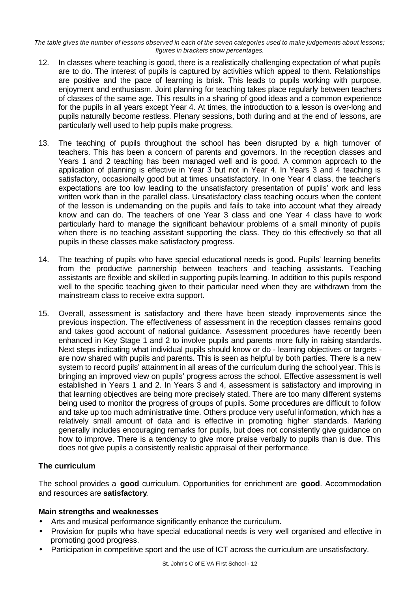*The table gives the number of lessons observed in each of the seven categories used to make judgements about lessons; figures in brackets show percentages.*

- 12. In classes where teaching is good, there is a realistically challenging expectation of what pupils are to do. The interest of pupils is captured by activities which appeal to them. Relationships are positive and the pace of learning is brisk. This leads to pupils working with purpose, enjoyment and enthusiasm. Joint planning for teaching takes place regularly between teachers of classes of the same age. This results in a sharing of good ideas and a common experience for the pupils in all years except Year 4. At times, the introduction to a lesson is over-long and pupils naturally become restless. Plenary sessions, both during and at the end of lessons, are particularly well used to help pupils make progress.
- 13. The teaching of pupils throughout the school has been disrupted by a high turnover of teachers. This has been a concern of parents and governors. In the reception classes and Years 1 and 2 teaching has been managed well and is good. A common approach to the application of planning is effective in Year 3 but not in Year 4. In Years 3 and 4 teaching is satisfactory, occasionally good but at times unsatisfactory. In one Year 4 class, the teacher's expectations are too low leading to the unsatisfactory presentation of pupils' work and less written work than in the parallel class. Unsatisfactory class teaching occurs when the content of the lesson is undemanding on the pupils and fails to take into account what they already know and can do. The teachers of one Year 3 class and one Year 4 class have to work particularly hard to manage the significant behaviour problems of a small minority of pupils when there is no teaching assistant supporting the class. They do this effectively so that all pupils in these classes make satisfactory progress.
- 14. The teaching of pupils who have special educational needs is good. Pupils' learning benefits from the productive partnership between teachers and teaching assistants. Teaching assistants are flexible and skilled in supporting pupils learning. In addition to this pupils respond well to the specific teaching given to their particular need when they are withdrawn from the mainstream class to receive extra support.
- 15. Overall, assessment is satisfactory and there have been steady improvements since the previous inspection. The effectiveness of assessment in the reception classes remains good and takes good account of national guidance. Assessment procedures have recently been enhanced in Key Stage 1 and 2 to involve pupils and parents more fully in raising standards. Next steps indicating what individual pupils should know or do - learning objectives or targets are now shared with pupils and parents. This is seen as helpful by both parties. There is a new system to record pupils' attainment in all areas of the curriculum during the school year. This is bringing an improved view on pupils' progress across the school. Effective assessment is well established in Years 1 and 2. In Years 3 and 4, assessment is satisfactory and improving in that learning objectives are being more precisely stated. There are too many different systems being used to monitor the progress of groups of pupils. Some procedures are difficult to follow and take up too much administrative time. Others produce very useful information, which has a relatively small amount of data and is effective in promoting higher standards. Marking generally includes encouraging remarks for pupils, but does not consistently give guidance on how to improve. There is a tendency to give more praise verbally to pupils than is due. This does not give pupils a consistently realistic appraisal of their performance.

## **The curriculum**

The school provides a **good** curriculum. Opportunities for enrichment are **good**. Accommodation and resources are **satisfactory**.

## **Main strengths and weaknesses**

- Arts and musical performance significantly enhance the curriculum.
- Provision for pupils who have special educational needs is very well organised and effective in promoting good progress.
- Participation in competitive sport and the use of ICT across the curriculum are unsatisfactory.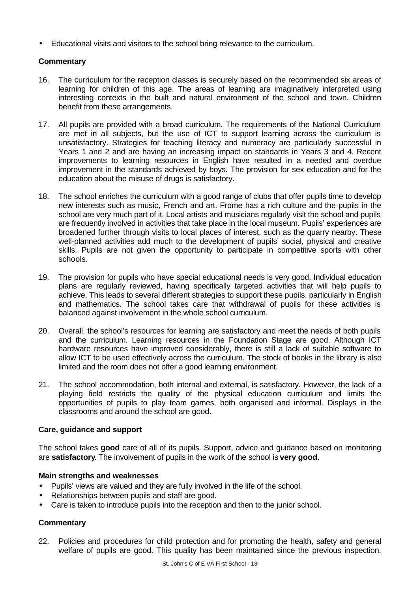• Educational visits and visitors to the school bring relevance to the curriculum.

## **Commentary**

- 16. The curriculum for the reception classes is securely based on the recommended six areas of learning for children of this age. The areas of learning are imaginatively interpreted using interesting contexts in the built and natural environment of the school and town. Children benefit from these arrangements.
- 17. All pupils are provided with a broad curriculum. The requirements of the National Curriculum are met in all subjects, but the use of ICT to support learning across the curriculum is unsatisfactory. Strategies for teaching literacy and numeracy are particularly successful in Years 1 and 2 and are having an increasing impact on standards in Years 3 and 4. Recent improvements to learning resources in English have resulted in a needed and overdue improvement in the standards achieved by boys. The provision for sex education and for the education about the misuse of drugs is satisfactory.
- 18. The school enriches the curriculum with a good range of clubs that offer pupils time to develop new interests such as music, French and art. Frome has a rich culture and the pupils in the school are very much part of it. Local artists and musicians regularly visit the school and pupils are frequently involved in activities that take place in the local museum. Pupils' experiences are broadened further through visits to local places of interest, such as the quarry nearby. These well-planned activities add much to the development of pupils' social, physical and creative skills. Pupils are not given the opportunity to participate in competitive sports with other schools.
- 19. The provision for pupils who have special educational needs is very good. Individual education plans are regularly reviewed, having specifically targeted activities that will help pupils to achieve. This leads to several different strategies to support these pupils, particularly in English and mathematics. The school takes care that withdrawal of pupils for these activities is balanced against involvement in the whole school curriculum.
- 20. Overall, the school's resources for learning are satisfactory and meet the needs of both pupils and the curriculum. Learning resources in the Foundation Stage are good. Although ICT hardware resources have improved considerably, there is still a lack of suitable software to allow ICT to be used effectively across the curriculum. The stock of books in the library is also limited and the room does not offer a good learning environment.
- 21. The school accommodation, both internal and external, is satisfactory. However, the lack of a playing field restricts the quality of the physical education curriculum and limits the opportunities of pupils to play team games, both organised and informal. Displays in the classrooms and around the school are good.

## **Care, guidance and support**

The school takes **good** care of all of its pupils. Support, advice and guidance based on monitoring are **satisfactory**. The involvement of pupils in the work of the school is **very good**.

## **Main strengths and weaknesses**

- Pupils' views are valued and they are fully involved in the life of the school.
- Relationships between pupils and staff are good.
- Care is taken to introduce pupils into the reception and then to the junior school.

## **Commentary**

22. Policies and procedures for child protection and for promoting the health, safety and general welfare of pupils are good. This quality has been maintained since the previous inspection.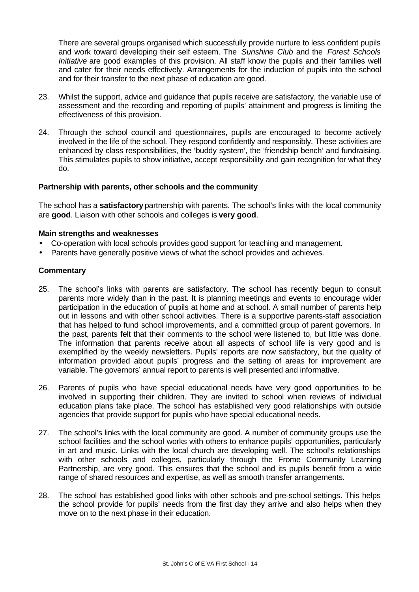There are several groups organised which successfully provide nurture to less confident pupils and work toward developing their self esteem. The *Sunshine Club* and the *Forest Schools Initiative* are good examples of this provision. All staff know the pupils and their families well and cater for their needs effectively. Arrangements for the induction of pupils into the school and for their transfer to the next phase of education are good.

- 23. Whilst the support, advice and guidance that pupils receive are satisfactory, the variable use of assessment and the recording and reporting of pupils' attainment and progress is limiting the effectiveness of this provision.
- 24. Through the school council and questionnaires, pupils are encouraged to become actively involved in the life of the school. They respond confidently and responsibly. These activities are enhanced by class responsibilities, the 'buddy system', the 'friendship bench' and fundraising. This stimulates pupils to show initiative, accept responsibility and gain recognition for what they do.

## **Partnership with parents, other schools and the community**

The school has a **satisfactory** partnership with parents. The school's links with the local community are **good**. Liaison with other schools and colleges is **very good**.

#### **Main strengths and weaknesses**

- Co-operation with local schools provides good support for teaching and management.
- Parents have generally positive views of what the school provides and achieves.

- 25. The school's links with parents are satisfactory. The school has recently begun to consult parents more widely than in the past. It is planning meetings and events to encourage wider participation in the education of pupils at home and at school. A small number of parents help out in lessons and with other school activities. There is a supportive parents-staff association that has helped to fund school improvements, and a committed group of parent governors. In the past, parents felt that their comments to the school were listened to, but little was done. The information that parents receive about all aspects of school life is very good and is exemplified by the weekly newsletters. Pupils' reports are now satisfactory, but the quality of information provided about pupils' progress and the setting of areas for improvement are variable. The governors' annual report to parents is well presented and informative.
- 26. Parents of pupils who have special educational needs have very good opportunities to be involved in supporting their children. They are invited to school when reviews of individual education plans take place. The school has established very good relationships with outside agencies that provide support for pupils who have special educational needs.
- 27. The school's links with the local community are good. A number of community groups use the school facilities and the school works with others to enhance pupils' opportunities, particularly in art and music. Links with the local church are developing well. The school's relationships with other schools and colleges, particularly through the Frome Community Learning Partnership, are very good. This ensures that the school and its pupils benefit from a wide range of shared resources and expertise, as well as smooth transfer arrangements.
- 28. The school has established good links with other schools and pre-school settings. This helps the school provide for pupils' needs from the first day they arrive and also helps when they move on to the next phase in their education.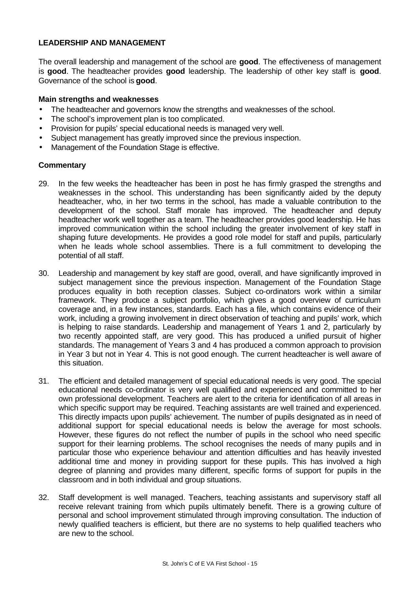## **LEADERSHIP AND MANAGEMENT**

The overall leadership and management of the school are **good**. The effectiveness of management is **good**. The headteacher provides **good** leadership. The leadership of other key staff is **good**. Governance of the school is **good**.

## **Main strengths and weaknesses**

- The headteacher and governors know the strengths and weaknesses of the school.
- The school's improvement plan is too complicated.
- Provision for pupils' special educational needs is managed very well.
- Subject management has greatly improved since the previous inspection.
- Management of the Foundation Stage is effective.

- 29. In the few weeks the headteacher has been in post he has firmly grasped the strengths and weaknesses in the school. This understanding has been significantly aided by the deputy headteacher, who, in her two terms in the school, has made a valuable contribution to the development of the school. Staff morale has improved. The headteacher and deputy headteacher work well together as a team. The headteacher provides good leadership. He has improved communication within the school including the greater involvement of key staff in shaping future developments. He provides a good role model for staff and pupils, particularly when he leads whole school assemblies. There is a full commitment to developing the potential of all staff.
- 30. Leadership and management by key staff are good, overall, and have significantly improved in subject management since the previous inspection. Management of the Foundation Stage produces equality in both reception classes. Subject co-ordinators work within a similar framework. They produce a subject portfolio, which gives a good overview of curriculum coverage and, in a few instances, standards. Each has a file, which contains evidence of their work, including a growing involvement in direct observation of teaching and pupils' work, which is helping to raise standards. Leadership and management of Years 1 and 2, particularly by two recently appointed staff, are very good. This has produced a unified pursuit of higher standards. The management of Years 3 and 4 has produced a common approach to provision in Year 3 but not in Year 4. This is not good enough. The current headteacher is well aware of this situation.
- 31. The efficient and detailed management of special educational needs is very good. The special educational needs co-ordinator is very well qualified and experienced and committed to her own professional development. Teachers are alert to the criteria for identification of all areas in which specific support may be required. Teaching assistants are well trained and experienced. This directly impacts upon pupils' achievement. The number of pupils designated as in need of additional support for special educational needs is below the average for most schools. However, these figures do not reflect the number of pupils in the school who need specific support for their learning problems. The school recognises the needs of many pupils and in particular those who experience behaviour and attention difficulties and has heavily invested additional time and money in providing support for these pupils. This has involved a high degree of planning and provides many different, specific forms of support for pupils in the classroom and in both individual and group situations.
- 32. Staff development is well managed. Teachers, teaching assistants and supervisory staff all receive relevant training from which pupils ultimately benefit. There is a growing culture of personal and school improvement stimulated through improving consultation. The induction of newly qualified teachers is efficient, but there are no systems to help qualified teachers who are new to the school.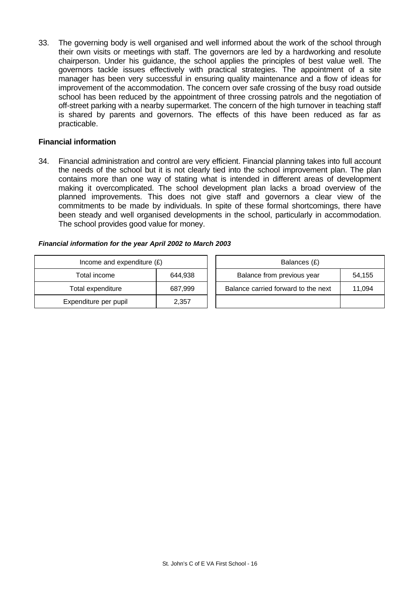33. The governing body is well organised and well informed about the work of the school through their own visits or meetings with staff. The governors are led by a hardworking and resolute chairperson. Under his guidance, the school applies the principles of best value well. The governors tackle issues effectively with practical strategies. The appointment of a site manager has been very successful in ensuring quality maintenance and a flow of ideas for improvement of the accommodation. The concern over safe crossing of the busy road outside school has been reduced by the appointment of three crossing patrols and the negotiation of off-street parking with a nearby supermarket. The concern of the high turnover in teaching staff is shared by parents and governors. The effects of this have been reduced as far as practicable.

## **Financial information**

34. Financial administration and control are very efficient. Financial planning takes into full account the needs of the school but it is not clearly tied into the school improvement plan. The plan contains more than one way of stating what is intended in different areas of development making it overcomplicated. The school development plan lacks a broad overview of the planned improvements. This does not give staff and governors a clear view of the commitments to be made by individuals. In spite of these formal shortcomings, there have been steady and well organised developments in the school, particularly in accommodation. The school provides good value for money.

#### *Financial information for the year April 2002 to March 2003*

| Income and expenditure $(E)$ |         | Balances (£)                        |        |
|------------------------------|---------|-------------------------------------|--------|
| Total income                 | 644,938 | Balance from previous year          | 54.155 |
| Total expenditure            | 687,999 | Balance carried forward to the next | 11.094 |
| Expenditure per pupil        | 2,357   |                                     |        |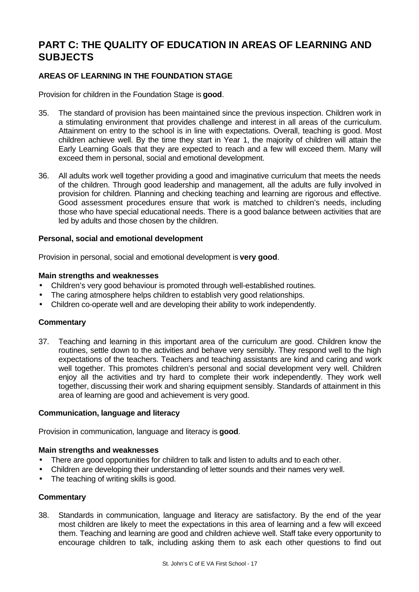## **PART C: THE QUALITY OF EDUCATION IN AREAS OF LEARNING AND SUBJECTS**

## **AREAS OF LEARNING IN THE FOUNDATION STAGE**

Provision for children in the Foundation Stage is **good**.

- 35. The standard of provision has been maintained since the previous inspection. Children work in a stimulating environment that provides challenge and interest in all areas of the curriculum. Attainment on entry to the school is in line with expectations. Overall, teaching is good. Most children achieve well. By the time they start in Year 1, the majority of children will attain the Early Learning Goals that they are expected to reach and a few will exceed them. Many will exceed them in personal, social and emotional development.
- 36. All adults work well together providing a good and imaginative curriculum that meets the needs of the children. Through good leadership and management, all the adults are fully involved in provision for children. Planning and checking teaching and learning are rigorous and effective. Good assessment procedures ensure that work is matched to children's needs, including those who have special educational needs. There is a good balance between activities that are led by adults and those chosen by the children.

#### **Personal, social and emotional development**

Provision in personal, social and emotional development is **very good**.

#### **Main strengths and weaknesses**

- Children's very good behaviour is promoted through well-established routines.
- The caring atmosphere helps children to establish very good relationships.
- Children co-operate well and are developing their ability to work independently.

## **Commentary**

37. Teaching and learning in this important area of the curriculum are good. Children know the routines, settle down to the activities and behave very sensibly. They respond well to the high expectations of the teachers. Teachers and teaching assistants are kind and caring and work well together. This promotes children's personal and social development very well. Children enjoy all the activities and try hard to complete their work independently. They work well together, discussing their work and sharing equipment sensibly. Standards of attainment in this area of learning are good and achievement is very good.

#### **Communication, language and literacy**

Provision in communication, language and literacy is **good**.

#### **Main strengths and weaknesses**

- There are good opportunities for children to talk and listen to adults and to each other.
- Children are developing their understanding of letter sounds and their names very well.
- The teaching of writing skills is good.

#### **Commentary**

38. Standards in communication, language and literacy are satisfactory. By the end of the year most children are likely to meet the expectations in this area of learning and a few will exceed them. Teaching and learning are good and children achieve well. Staff take every opportunity to encourage children to talk, including asking them to ask each other questions to find out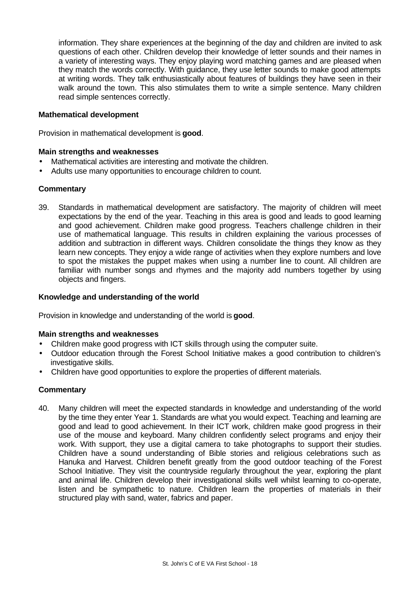information. They share experiences at the beginning of the day and children are invited to ask questions of each other. Children develop their knowledge of letter sounds and their names in a variety of interesting ways. They enjoy playing word matching games and are pleased when they match the words correctly. With guidance, they use letter sounds to make good attempts at writing words. They talk enthusiastically about features of buildings they have seen in their walk around the town. This also stimulates them to write a simple sentence. Many children read simple sentences correctly.

## **Mathematical development**

Provision in mathematical development is **good**.

#### **Main strengths and weaknesses**

- Mathematical activities are interesting and motivate the children.
- Adults use many opportunities to encourage children to count.

## **Commentary**

39. Standards in mathematical development are satisfactory. The majority of children will meet expectations by the end of the year. Teaching in this area is good and leads to good learning and good achievement. Children make good progress. Teachers challenge children in their use of mathematical language. This results in children explaining the various processes of addition and subtraction in different ways. Children consolidate the things they know as they learn new concepts. They enjoy a wide range of activities when they explore numbers and love to spot the mistakes the puppet makes when using a number line to count. All children are familiar with number songs and rhymes and the majority add numbers together by using objects and fingers.

#### **Knowledge and understanding of the world**

Provision in knowledge and understanding of the world is **good**.

#### **Main strengths and weaknesses**

- Children make good progress with ICT skills through using the computer suite.
- Outdoor education through the Forest School Initiative makes a good contribution to children's investigative skills.
- Children have good opportunities to explore the properties of different materials.

## **Commentary**

40. Many children will meet the expected standards in knowledge and understanding of the world by the time they enter Year 1. Standards are what you would expect. Teaching and learning are good and lead to good achievement. In their ICT work, children make good progress in their use of the mouse and keyboard. Many children confidently select programs and enjoy their work. With support, they use a digital camera to take photographs to support their studies. Children have a sound understanding of Bible stories and religious celebrations such as Hanuka and Harvest. Children benefit greatly from the good outdoor teaching of the Forest School Initiative. They visit the countryside regularly throughout the year, exploring the plant and animal life. Children develop their investigational skills well whilst learning to co-operate, listen and be sympathetic to nature. Children learn the properties of materials in their structured play with sand, water, fabrics and paper.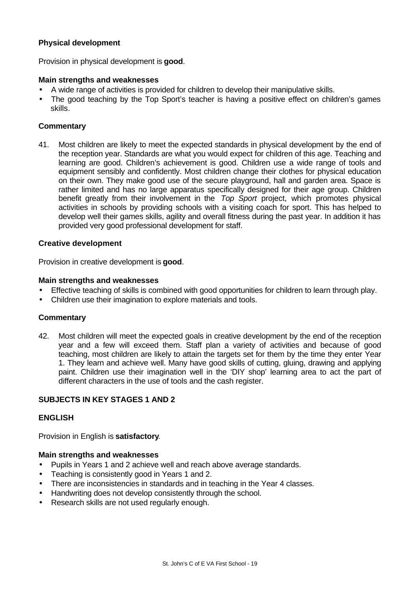## **Physical development**

Provision in physical development is **good**.

#### **Main strengths and weaknesses**

- A wide range of activities is provided for children to develop their manipulative skills.
- The good teaching by the Top Sport's teacher is having a positive effect on children's games skills.

## **Commentary**

41. Most children are likely to meet the expected standards in physical development by the end of the reception year. Standards are what you would expect for children of this age. Teaching and learning are good. Children's achievement is good. Children use a wide range of tools and equipment sensibly and confidently. Most children change their clothes for physical education on their own. They make good use of the secure playground, hall and garden area. Space is rather limited and has no large apparatus specifically designed for their age group. Children benefit greatly from their involvement in the *Top Sport* project, which promotes physical activities in schools by providing schools with a visiting coach for sport. This has helped to develop well their games skills, agility and overall fitness during the past year. In addition it has provided very good professional development for staff.

#### **Creative development**

Provision in creative development is **good**.

#### **Main strengths and weaknesses**

- Effective teaching of skills is combined with good opportunities for children to learn through play.
- Children use their imagination to explore materials and tools.

#### **Commentary**

42. Most children will meet the expected goals in creative development by the end of the reception year and a few will exceed them. Staff plan a variety of activities and because of good teaching, most children are likely to attain the targets set for them by the time they enter Year 1. They learn and achieve well. Many have good skills of cutting, gluing, drawing and applying paint. Children use their imagination well in the 'DIY shop' learning area to act the part of different characters in the use of tools and the cash register.

## **SUBJECTS IN KEY STAGES 1 AND 2**

## **ENGLISH**

Provision in English is **satisfactory**.

#### **Main strengths and weaknesses**

- Pupils in Years 1 and 2 achieve well and reach above average standards.
- Teaching is consistently good in Years 1 and 2.
- There are inconsistencies in standards and in teaching in the Year 4 classes.
- Handwriting does not develop consistently through the school.
- Research skills are not used regularly enough.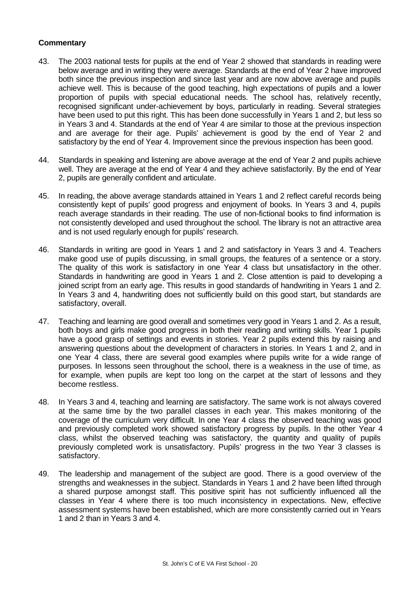- 43. The 2003 national tests for pupils at the end of Year 2 showed that standards in reading were below average and in writing they were average. Standards at the end of Year 2 have improved both since the previous inspection and since last year and are now above average and pupils achieve well. This is because of the good teaching, high expectations of pupils and a lower proportion of pupils with special educational needs. The school has, relatively recently, recognised significant under-achievement by boys, particularly in reading. Several strategies have been used to put this right. This has been done successfully in Years 1 and 2, but less so in Years 3 and 4. Standards at the end of Year 4 are similar to those at the previous inspection and are average for their age. Pupils' achievement is good by the end of Year 2 and satisfactory by the end of Year 4. Improvement since the previous inspection has been good.
- 44. Standards in speaking and listening are above average at the end of Year 2 and pupils achieve well. They are average at the end of Year 4 and they achieve satisfactorily. By the end of Year 2, pupils are generally confident and articulate.
- 45. In reading, the above average standards attained in Years 1 and 2 reflect careful records being consistently kept of pupils' good progress and enjoyment of books. In Years 3 and 4, pupils reach average standards in their reading. The use of non-fictional books to find information is not consistently developed and used throughout the school. The library is not an attractive area and is not used regularly enough for pupils' research.
- 46. Standards in writing are good in Years 1 and 2 and satisfactory in Years 3 and 4. Teachers make good use of pupils discussing, in small groups, the features of a sentence or a story. The quality of this work is satisfactory in one Year 4 class but unsatisfactory in the other. Standards in handwriting are good in Years 1 and 2. Close attention is paid to developing a joined script from an early age. This results in good standards of handwriting in Years 1 and 2. In Years 3 and 4, handwriting does not sufficiently build on this good start, but standards are satisfactory, overall.
- 47. Teaching and learning are good overall and sometimes very good in Years 1 and 2. As a result, both boys and girls make good progress in both their reading and writing skills. Year 1 pupils have a good grasp of settings and events in stories. Year 2 pupils extend this by raising and answering questions about the development of characters in stories. In Years 1 and 2, and in one Year 4 class, there are several good examples where pupils write for a wide range of purposes. In lessons seen throughout the school, there is a weakness in the use of time, as for example, when pupils are kept too long on the carpet at the start of lessons and they become restless.
- 48. In Years 3 and 4, teaching and learning are satisfactory. The same work is not always covered at the same time by the two parallel classes in each year. This makes monitoring of the coverage of the curriculum very difficult. In one Year 4 class the observed teaching was good and previously completed work showed satisfactory progress by pupils. In the other Year 4 class, whilst the observed teaching was satisfactory, the quantity and quality of pupils previously completed work is unsatisfactory. Pupils' progress in the two Year 3 classes is satisfactory.
- 49. The leadership and management of the subject are good. There is a good overview of the strengths and weaknesses in the subject. Standards in Years 1 and 2 have been lifted through a shared purpose amongst staff. This positive spirit has not sufficiently influenced all the classes in Year 4 where there is too much inconsistency in expectations. New, effective assessment systems have been established, which are more consistently carried out in Years 1 and 2 than in Years 3 and 4.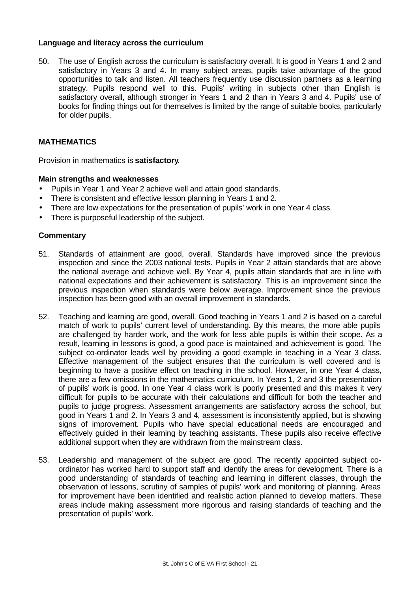#### **Language and literacy across the curriculum**

50. The use of English across the curriculum is satisfactory overall. It is good in Years 1 and 2 and satisfactory in Years 3 and 4. In many subject areas, pupils take advantage of the good opportunities to talk and listen. All teachers frequently use discussion partners as a learning strategy. Pupils respond well to this. Pupils' writing in subjects other than English is satisfactory overall, although stronger in Years 1 and 2 than in Years 3 and 4. Pupils' use of books for finding things out for themselves is limited by the range of suitable books, particularly for older pupils.

## **MATHEMATICS**

Provision in mathematics is **satisfactory**.

#### **Main strengths and weaknesses**

- Pupils in Year 1 and Year 2 achieve well and attain good standards.
- There is consistent and effective lesson planning in Years 1 and 2.
- There are low expectations for the presentation of pupils' work in one Year 4 class.
- There is purposeful leadership of the subject.

- 51. Standards of attainment are good, overall. Standards have improved since the previous inspection and since the 2003 national tests. Pupils in Year 2 attain standards that are above the national average and achieve well. By Year 4, pupils attain standards that are in line with national expectations and their achievement is satisfactory. This is an improvement since the previous inspection when standards were below average. Improvement since the previous inspection has been good with an overall improvement in standards.
- 52. Teaching and learning are good, overall. Good teaching in Years 1 and 2 is based on a careful match of work to pupils' current level of understanding. By this means, the more able pupils are challenged by harder work, and the work for less able pupils is within their scope. As a result, learning in lessons is good, a good pace is maintained and achievement is good. The subject co-ordinator leads well by providing a good example in teaching in a Year 3 class. Effective management of the subject ensures that the curriculum is well covered and is beginning to have a positive effect on teaching in the school. However, in one Year 4 class, there are a few omissions in the mathematics curriculum. In Years 1, 2 and 3 the presentation of pupils' work is good. In one Year 4 class work is poorly presented and this makes it very difficult for pupils to be accurate with their calculations and difficult for both the teacher and pupils to judge progress. Assessment arrangements are satisfactory across the school, but good in Years 1 and 2. In Years 3 and 4, assessment is inconsistently applied, but is showing signs of improvement. Pupils who have special educational needs are encouraged and effectively guided in their learning by teaching assistants. These pupils also receive effective additional support when they are withdrawn from the mainstream class.
- 53. Leadership and management of the subject are good. The recently appointed subject coordinator has worked hard to support staff and identify the areas for development. There is a good understanding of standards of teaching and learning in different classes, through the observation of lessons, scrutiny of samples of pupils' work and monitoring of planning. Areas for improvement have been identified and realistic action planned to develop matters. These areas include making assessment more rigorous and raising standards of teaching and the presentation of pupils' work.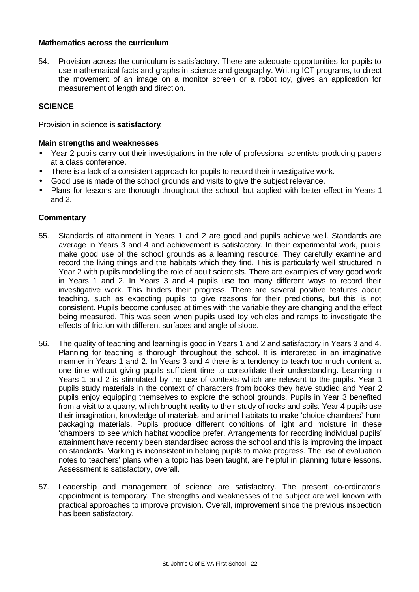## **Mathematics across the curriculum**

54. Provision across the curriculum is satisfactory. There are adequate opportunities for pupils to use mathematical facts and graphs in science and geography. Writing ICT programs, to direct the movement of an image on a monitor screen or a robot toy, gives an application for measurement of length and direction.

## **SCIENCE**

Provision in science is **satisfactory**.

#### **Main strengths and weaknesses**

- Year 2 pupils carry out their investigations in the role of professional scientists producing papers at a class conference.
- There is a lack of a consistent approach for pupils to record their investigative work.
- Good use is made of the school grounds and visits to give the subject relevance.
- Plans for lessons are thorough throughout the school, but applied with better effect in Years 1 and 2.

- 55. Standards of attainment in Years 1 and 2 are good and pupils achieve well. Standards are average in Years 3 and 4 and achievement is satisfactory. In their experimental work, pupils make good use of the school grounds as a learning resource. They carefully examine and record the living things and the habitats which they find. This is particularly well structured in Year 2 with pupils modelling the role of adult scientists. There are examples of very good work in Years 1 and 2. In Years 3 and 4 pupils use too many different ways to record their investigative work. This hinders their progress. There are several positive features about teaching, such as expecting pupils to give reasons for their predictions, but this is not consistent. Pupils become confused at times with the variable they are changing and the effect being measured. This was seen when pupils used toy vehicles and ramps to investigate the effects of friction with different surfaces and angle of slope.
- 56. The quality of teaching and learning is good in Years 1 and 2 and satisfactory in Years 3 and 4. Planning for teaching is thorough throughout the school. It is interpreted in an imaginative manner in Years 1 and 2. In Years 3 and 4 there is a tendency to teach too much content at one time without giving pupils sufficient time to consolidate their understanding. Learning in Years 1 and 2 is stimulated by the use of contexts which are relevant to the pupils. Year 1 pupils study materials in the context of characters from books they have studied and Year 2 pupils enjoy equipping themselves to explore the school grounds. Pupils in Year 3 benefited from a visit to a quarry, which brought reality to their study of rocks and soils. Year 4 pupils use their imagination, knowledge of materials and animal habitats to make 'choice chambers' from packaging materials. Pupils produce different conditions of light and moisture in these 'chambers' to see which habitat woodlice prefer. Arrangements for recording individual pupils' attainment have recently been standardised across the school and this is improving the impact on standards. Marking is inconsistent in helping pupils to make progress. The use of evaluation notes to teachers' plans when a topic has been taught, are helpful in planning future lessons. Assessment is satisfactory, overall.
- 57. Leadership and management of science are satisfactory. The present co-ordinator's appointment is temporary. The strengths and weaknesses of the subject are well known with practical approaches to improve provision. Overall, improvement since the previous inspection has been satisfactory.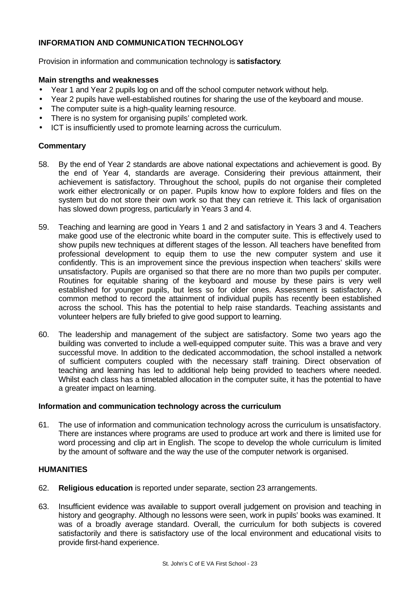## **INFORMATION AND COMMUNICATION TECHNOLOGY**

Provision in information and communication technology is **satisfactory**.

#### **Main strengths and weaknesses**

- Year 1 and Year 2 pupils log on and off the school computer network without help.
- Year 2 pupils have well-established routines for sharing the use of the keyboard and mouse.
- The computer suite is a high-quality learning resource.
- There is no system for organising pupils' completed work.
- ICT is insufficiently used to promote learning across the curriculum.

## **Commentary**

- 58. By the end of Year 2 standards are above national expectations and achievement is good. By the end of Year 4, standards are average. Considering their previous attainment, their achievement is satisfactory. Throughout the school, pupils do not organise their completed work either electronically or on paper. Pupils know how to explore folders and files on the system but do not store their own work so that they can retrieve it. This lack of organisation has slowed down progress, particularly in Years 3 and 4.
- 59. Teaching and learning are good in Years 1 and 2 and satisfactory in Years 3 and 4. Teachers make good use of the electronic white board in the computer suite. This is effectively used to show pupils new techniques at different stages of the lesson. All teachers have benefited from professional development to equip them to use the new computer system and use it confidently. This is an improvement since the previous inspection when teachers' skills were unsatisfactory. Pupils are organised so that there are no more than two pupils per computer. Routines for equitable sharing of the keyboard and mouse by these pairs is very well established for younger pupils, but less so for older ones. Assessment is satisfactory. A common method to record the attainment of individual pupils has recently been established across the school. This has the potential to help raise standards. Teaching assistants and volunteer helpers are fully briefed to give good support to learning.
- 60. The leadership and management of the subject are satisfactory. Some two years ago the building was converted to include a well-equipped computer suite. This was a brave and very successful move. In addition to the dedicated accommodation, the school installed a network of sufficient computers coupled with the necessary staff training. Direct observation of teaching and learning has led to additional help being provided to teachers where needed. Whilst each class has a timetabled allocation in the computer suite, it has the potential to have a greater impact on learning.

#### **Information and communication technology across the curriculum**

61. The use of information and communication technology across the curriculum is unsatisfactory. There are instances where programs are used to produce art work and there is limited use for word processing and clip art in English. The scope to develop the whole curriculum is limited by the amount of software and the way the use of the computer network is organised.

## **HUMANITIES**

- 62. **Religious education** is reported under separate, section 23 arrangements.
- 63. Insufficient evidence was available to support overall judgement on provision and teaching in history and geography. Although no lessons were seen, work in pupils' books was examined. It was of a broadly average standard. Overall, the curriculum for both subjects is covered satisfactorily and there is satisfactory use of the local environment and educational visits to provide first-hand experience.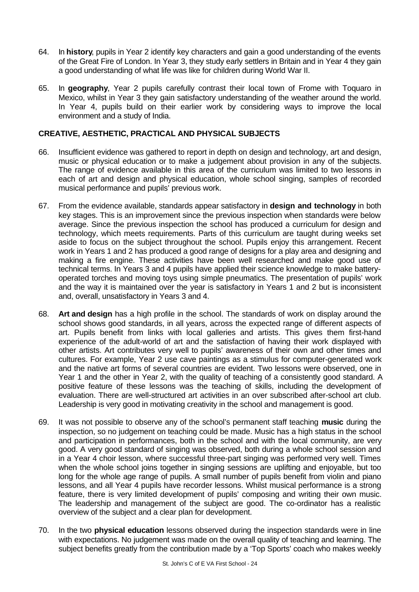- 64. In **history**, pupils in Year 2 identify key characters and gain a good understanding of the events of the Great Fire of London. In Year 3, they study early settlers in Britain and in Year 4 they gain a good understanding of what life was like for children during World War II.
- 65. In **geography**, Year 2 pupils carefully contrast their local town of Frome with Toquaro in Mexico, whilst in Year 3 they gain satisfactory understanding of the weather around the world. In Year 4, pupils build on their earlier work by considering ways to improve the local environment and a study of India.

## **CREATIVE, AESTHETIC, PRACTICAL AND PHYSICAL SUBJECTS**

- 66. Insufficient evidence was gathered to report in depth on design and technology, art and design, music or physical education or to make a judgement about provision in any of the subjects. The range of evidence available in this area of the curriculum was limited to two lessons in each of art and design and physical education, whole school singing, samples of recorded musical performance and pupils' previous work.
- 67. From the evidence available, standards appear satisfactory in **design and technology** in both key stages. This is an improvement since the previous inspection when standards were below average. Since the previous inspection the school has produced a curriculum for design and technology, which meets requirements. Parts of this curriculum are taught during weeks set aside to focus on the subject throughout the school. Pupils enjoy this arrangement. Recent work in Years 1 and 2 has produced a good range of designs for a play area and designing and making a fire engine. These activities have been well researched and make good use of technical terms. In Years 3 and 4 pupils have applied their science knowledge to make batteryoperated torches and moving toys using simple pneumatics. The presentation of pupils' work and the way it is maintained over the year is satisfactory in Years 1 and 2 but is inconsistent and, overall, unsatisfactory in Years 3 and 4.
- 68. **Art and design** has a high profile in the school. The standards of work on display around the school shows good standards, in all years, across the expected range of different aspects of art. Pupils benefit from links with local galleries and artists. This gives them first-hand experience of the adult-world of art and the satisfaction of having their work displayed with other artists. Art contributes very well to pupils' awareness of their own and other times and cultures. For example, Year 2 use cave paintings as a stimulus for computer-generated work and the native art forms of several countries are evident. Two lessons were observed, one in Year 1 and the other in Year 2, with the quality of teaching of a consistently good standard. A positive feature of these lessons was the teaching of skills, including the development of evaluation. There are well-structured art activities in an over subscribed after-school art club. Leadership is very good in motivating creativity in the school and management is good.
- 69. It was not possible to observe any of the school's permanent staff teaching **music** during the inspection, so no judgement on teaching could be made. Music has a high status in the school and participation in performances, both in the school and with the local community, are very good. A very good standard of singing was observed, both during a whole school session and in a Year 4 choir lesson, where successful three-part singing was performed very well. Times when the whole school joins together in singing sessions are uplifting and enjoyable, but too long for the whole age range of pupils. A small number of pupils benefit from violin and piano lessons, and all Year 4 pupils have recorder lessons. Whilst musical performance is a strong feature, there is very limited development of pupils' composing and writing their own music. The leadership and management of the subject are good. The co-ordinator has a realistic overview of the subject and a clear plan for development.
- 70. In the two **physical education** lessons observed during the inspection standards were in line with expectations. No judgement was made on the overall quality of teaching and learning. The subject benefits greatly from the contribution made by a 'Top Sports' coach who makes weekly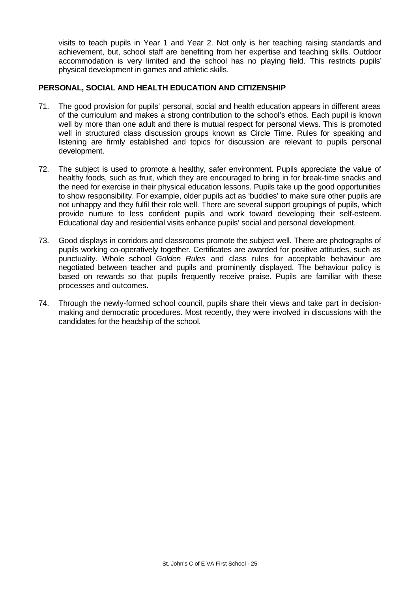visits to teach pupils in Year 1 and Year 2. Not only is her teaching raising standards and achievement, but, school staff are benefiting from her expertise and teaching skills. Outdoor accommodation is very limited and the school has no playing field. This restricts pupils' physical development in games and athletic skills.

## **PERSONAL, SOCIAL AND HEALTH EDUCATION AND CITIZENSHIP**

- 71. The good provision for pupils' personal, social and health education appears in different areas of the curriculum and makes a strong contribution to the school's ethos. Each pupil is known well by more than one adult and there is mutual respect for personal views. This is promoted well in structured class discussion groups known as Circle Time. Rules for speaking and listening are firmly established and topics for discussion are relevant to pupils personal development.
- 72. The subject is used to promote a healthy, safer environment. Pupils appreciate the value of healthy foods, such as fruit, which they are encouraged to bring in for break-time snacks and the need for exercise in their physical education lessons. Pupils take up the good opportunities to show responsibility. For example, older pupils act as 'buddies' to make sure other pupils are not unhappy and they fulfil their role well. There are several support groupings of pupils, which provide nurture to less confident pupils and work toward developing their self-esteem. Educational day and residential visits enhance pupils' social and personal development.
- 73. Good displays in corridors and classrooms promote the subject well. There are photographs of pupils working co-operatively together. Certificates are awarded for positive attitudes, such as punctuality. Whole school *Golden Rules* and class rules for acceptable behaviour are negotiated between teacher and pupils and prominently displayed. The behaviour policy is based on rewards so that pupils frequently receive praise. Pupils are familiar with these processes and outcomes.
- 74. Through the newly-formed school council, pupils share their views and take part in decisionmaking and democratic procedures. Most recently, they were involved in discussions with the candidates for the headship of the school.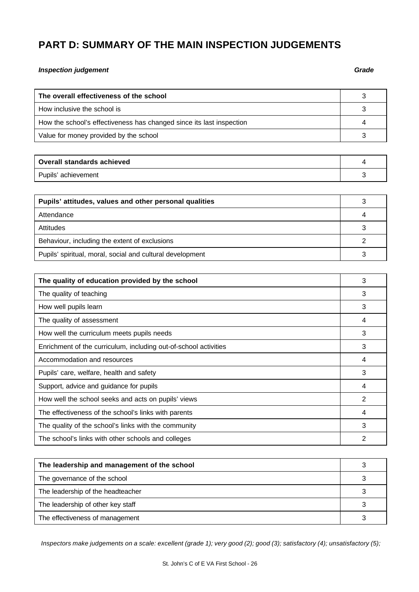# **PART D: SUMMARY OF THE MAIN INSPECTION JUDGEMENTS**

#### *Inspection judgement Grade*

| The overall effectiveness of the school                              |  |
|----------------------------------------------------------------------|--|
| How inclusive the school is                                          |  |
| How the school's effectiveness has changed since its last inspection |  |
| Value for money provided by the school                               |  |

| <b>Overall standards achieved</b> |  |
|-----------------------------------|--|
| Pupils' achievement               |  |

| Pupils' attitudes, values and other personal qualities    |  |
|-----------------------------------------------------------|--|
| Attendance                                                |  |
| Attitudes                                                 |  |
| Behaviour, including the extent of exclusions             |  |
| Pupils' spiritual, moral, social and cultural development |  |

| The quality of education provided by the school                  |   |
|------------------------------------------------------------------|---|
| The quality of teaching                                          | 3 |
| How well pupils learn                                            | 3 |
| The quality of assessment                                        | 4 |
| How well the curriculum meets pupils needs                       | 3 |
| Enrichment of the curriculum, including out-of-school activities | 3 |
| Accommodation and resources                                      |   |
| Pupils' care, welfare, health and safety                         |   |
| Support, advice and guidance for pupils                          | 4 |
| How well the school seeks and acts on pupils' views              | 2 |
| The effectiveness of the school's links with parents             |   |
| The quality of the school's links with the community             | 3 |
| The school's links with other schools and colleges               | 2 |

| The leadership and management of the school |  |
|---------------------------------------------|--|
| The governance of the school                |  |
| The leadership of the headteacher           |  |
| The leadership of other key staff           |  |
| The effectiveness of management             |  |

*Inspectors make judgements on a scale: excellent (grade 1); very good (2); good (3); satisfactory (4); unsatisfactory (5);*